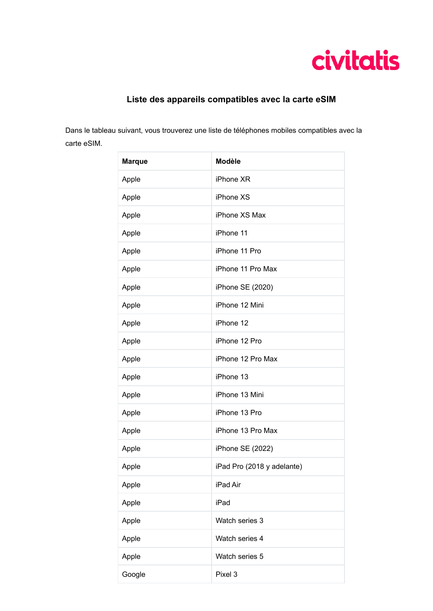

## **Liste des appareils compatibles avec la carte eSIM**

Dans le tableau suivant, vous trouverez une liste de téléphones mobiles compatibles avec la carte eSIM.

| <b>Marque</b> | <b>Modèle</b>              |
|---------------|----------------------------|
| Apple         | iPhone XR                  |
| Apple         | iPhone XS                  |
| Apple         | iPhone XS Max              |
| Apple         | iPhone 11                  |
| Apple         | iPhone 11 Pro              |
| Apple         | iPhone 11 Pro Max          |
| Apple         | iPhone SE (2020)           |
| Apple         | iPhone 12 Mini             |
| Apple         | iPhone 12                  |
| Apple         | iPhone 12 Pro              |
| Apple         | iPhone 12 Pro Max          |
| Apple         | iPhone 13                  |
| Apple         | iPhone 13 Mini             |
| Apple         | iPhone 13 Pro              |
| Apple         | iPhone 13 Pro Max          |
| Apple         | iPhone SE (2022)           |
| Apple         | iPad Pro (2018 y adelante) |
| Apple         | iPad Air                   |
| Apple         | iPad                       |
| Apple         | Watch series 3             |
| Apple         | Watch series 4             |
| Apple         | Watch series 5             |
| Google        | Pixel 3                    |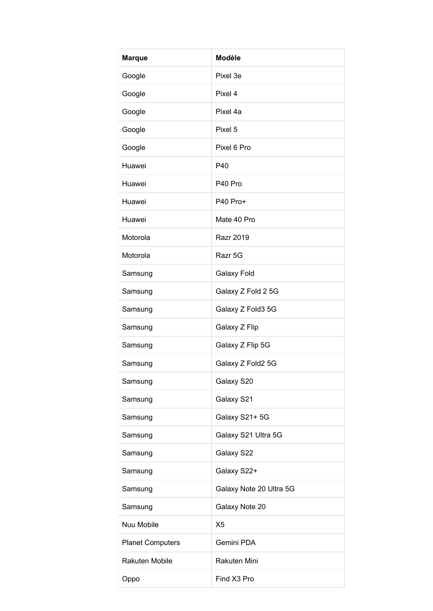| <b>Marque</b>           | <b>Modèle</b>           |
|-------------------------|-------------------------|
| Google                  | Pixel 3e                |
| Google                  | Pixel 4                 |
| Google                  | Pixel 4a                |
| Google                  | Pixel 5                 |
| Google                  | Pixel 6 Pro             |
| Huawei                  | P40                     |
| Huawei                  | P40 Pro                 |
| Huawei                  | P40 Pro+                |
| Huawei                  | Mate 40 Pro             |
| Motorola                | <b>Razr 2019</b>        |
| Motorola                | Razr 5G                 |
| Samsung                 | Galaxy Fold             |
| Samsung                 | Galaxy Z Fold 2 5G      |
| Samsung                 | Galaxy Z Fold3 5G       |
| Samsung                 | Galaxy Z Flip           |
| Samsung                 | Galaxy Z Flip 5G        |
| Samsung                 | Galaxy Z Fold2 5G       |
| Samsung                 | Galaxy S20              |
| Samsung                 | Galaxy S21              |
| Samsung                 | Galaxy S21+5G           |
| Samsung                 | Galaxy S21 Ultra 5G     |
| Samsung                 | Galaxy S22              |
| Samsung                 | Galaxy S22+             |
| Samsung                 | Galaxy Note 20 Ultra 5G |
| Samsung                 | Galaxy Note 20          |
| Nuu Mobile              | X <sub>5</sub>          |
| <b>Planet Computers</b> | Gemini PDA              |
| Rakuten Mobile          | Rakuten Mini            |
| Oppo                    | Find X3 Pro             |